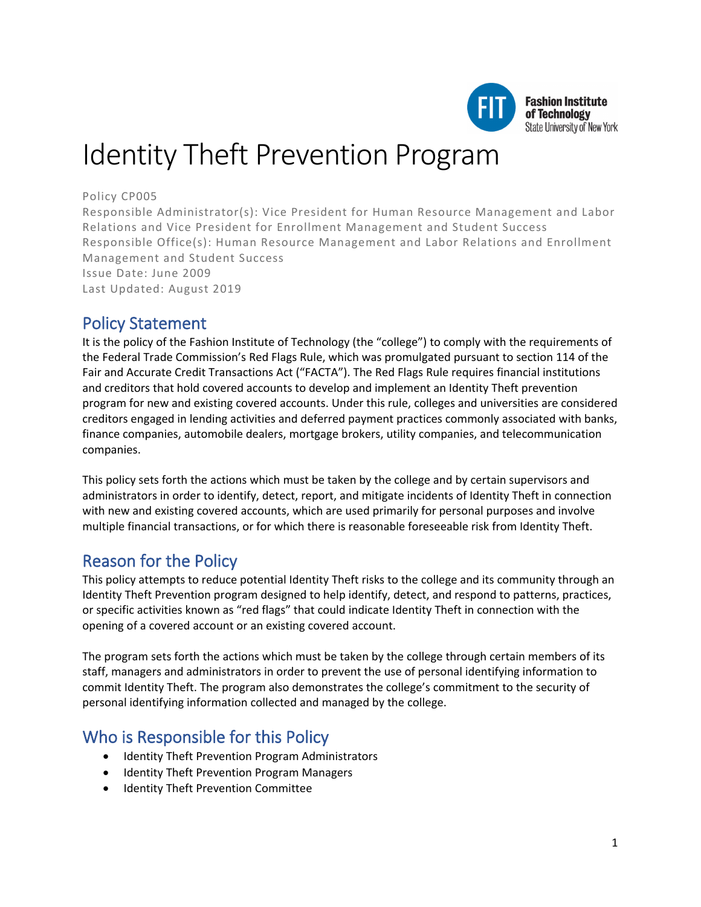

# Identity Theft Prevention Program

#### Policy CP005

Responsible Administrator(s): Vice President for Human Resource Management and Labor Relations and Vice President for Enrollment Management and Student Success Responsible Office(s): Human Resource Management and Labor Relations and Enrollment Management and Student Success Issue Date: June 2009 Last Updated: August 2019

### Policy Statement

It is the policy of the Fashion Institute of Technology (the "college") to comply with the requirements of the Federal Trade Commission's Red Flags Rule, which was promulgated pursuant to section 114 of the Fair and Accurate Credit Transactions Act ("FACTA"). The Red Flags Rule requires financial institutions and creditors that hold covered accounts to develop and implement an Identity Theft prevention program for new and existing covered accounts. Under this rule, colleges and universities are considered creditors engaged in lending activities and deferred payment practices commonly associated with banks, finance companies, automobile dealers, mortgage brokers, utility companies, and telecommunication companies.

This policy sets forth the actions which must be taken by the college and by certain supervisors and administrators in order to identify, detect, report, and mitigate incidents of Identity Theft in connection with new and existing covered accounts, which are used primarily for personal purposes and involve multiple financial transactions, or for which there is reasonable foreseeable risk from Identity Theft.

## Reason for the Policy

This policy attempts to reduce potential Identity Theft risks to the college and its community through an Identity Theft Prevention program designed to help identify, detect, and respond to patterns, practices, or specific activities known as "red flags" that could indicate Identity Theft in connection with the opening of a covered account or an existing covered account.

The program sets forth the actions which must be taken by the college through certain members of its staff, managers and administrators in order to prevent the use of personal identifying information to commit Identity Theft. The program also demonstrates the college's commitment to the security of personal identifying information collected and managed by the college.

### Who is Responsible for this Policy

- Identity Theft Prevention Program Administrators
- Identity Theft Prevention Program Managers
- Identity Theft Prevention Committee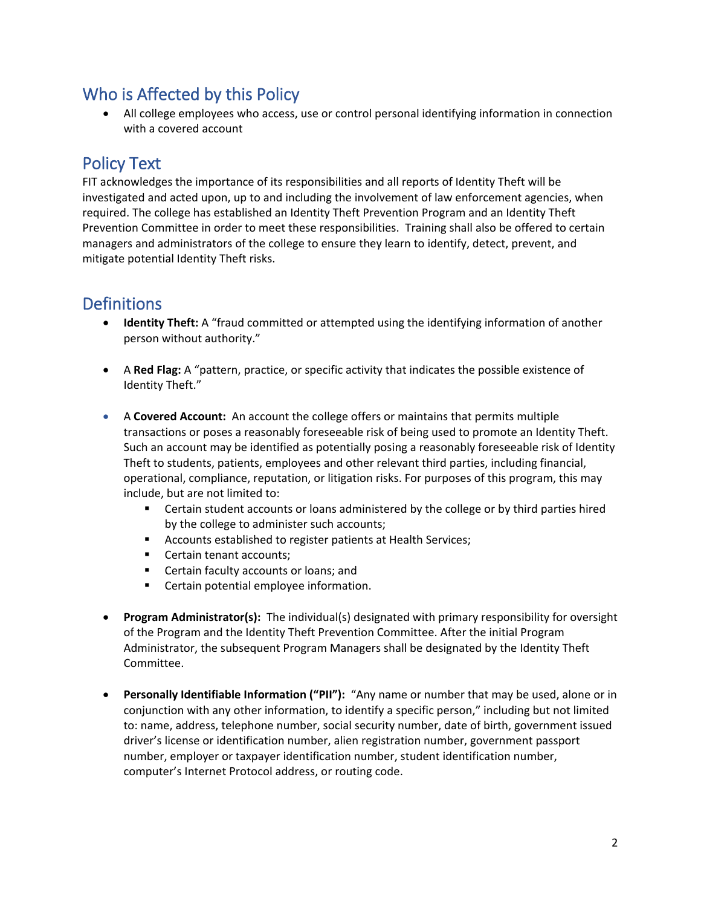# Who is Affected by this Policy

• All college employees who access, use or control personal identifying information in connection with a covered account

# Policy Text

FIT acknowledges the importance of its responsibilities and all reports of Identity Theft will be investigated and acted upon, up to and including the involvement of law enforcement agencies, when required. The college has established an Identity Theft Prevention Program and an Identity Theft Prevention Committee in order to meet these responsibilities. Training shall also be offered to certain managers and administrators of the college to ensure they learn to identify, detect, prevent, and mitigate potential Identity Theft risks.

# **Definitions**

- **Identity Theft:** A "fraud committed or attempted using the identifying information of another person without authority."
- A **Red Flag:** A "pattern, practice, or specific activity that indicates the possible existence of Identity Theft."
- A **Covered Account:** An account the college offers or maintains that permits multiple transactions or poses a reasonably foreseeable risk of being used to promote an Identity Theft. Such an account may be identified as potentially posing a reasonably foreseeable risk of Identity Theft to students, patients, employees and other relevant third parties, including financial, operational, compliance, reputation, or litigation risks. For purposes of this program, this may include, but are not limited to:
	- **EXECO** Certain student accounts or loans administered by the college or by third parties hired by the college to administer such accounts;
	- Accounts established to register patients at Health Services;
	- Certain tenant accounts;
	- **EXEC** Certain faculty accounts or loans; and
	- **EXEC** Certain potential employee information.
- **Program Administrator(s):** The individual(s) designated with primary responsibility for oversight of the Program and the Identity Theft Prevention Committee. After the initial Program Administrator, the subsequent Program Managers shall be designated by the Identity Theft Committee.
- **Personally Identifiable Information ("PII"):** "Any name or number that may be used, alone or in conjunction with any other information, to identify a specific person," including but not limited to: name, address, telephone number, social security number, date of birth, government issued driver's license or identification number, alien registration number, government passport number, employer or taxpayer identification number, student identification number, computer's Internet Protocol address, or routing code.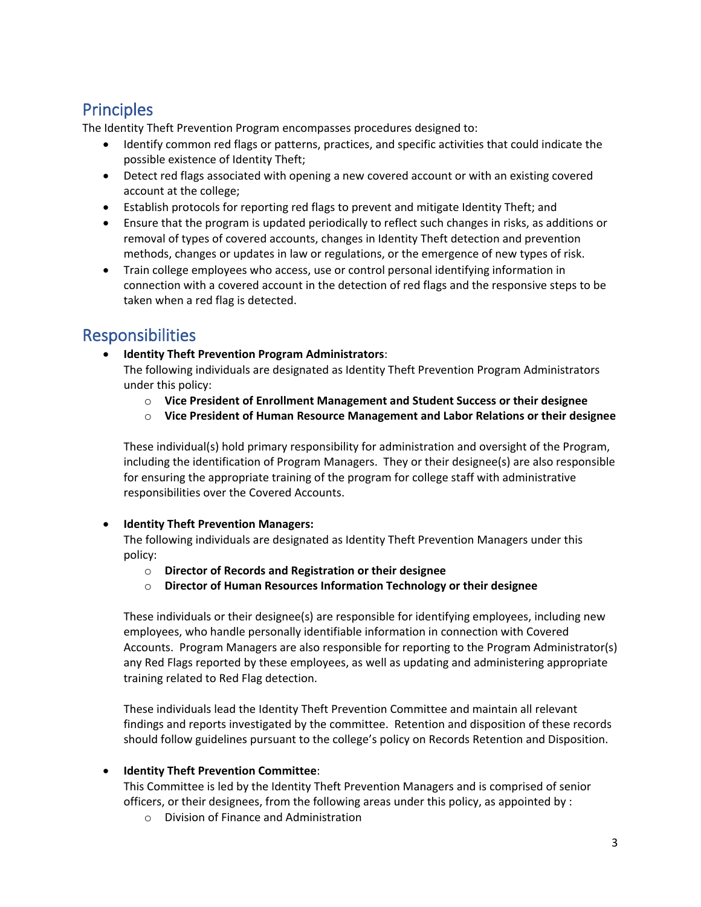# Principles

The Identity Theft Prevention Program encompasses procedures designed to:

- Identify common red flags or patterns, practices, and specific activities that could indicate the possible existence of Identity Theft;
- Detect red flags associated with opening a new covered account or with an existing covered account at the college;
- Establish protocols for reporting red flags to prevent and mitigate Identity Theft; and
- Ensure that the program is updated periodically to reflect such changes in risks, as additions or removal of types of covered accounts, changes in Identity Theft detection and prevention methods, changes or updates in law or regulations, or the emergence of new types of risk.
- Train college employees who access, use or control personal identifying information in connection with a covered account in the detection of red flags and the responsive steps to be taken when a red flag is detected.

## Responsibilities

• **Identity Theft Prevention Program Administrators**:

The following individuals are designated as Identity Theft Prevention Program Administrators under this policy:

- o **Vice President of Enrollment Management and Student Success or their designee**
- o **Vice President of Human Resource Management and Labor Relations or their designee**

These individual(s) hold primary responsibility for administration and oversight of the Program, including the identification of Program Managers. They or their designee(s) are also responsible for ensuring the appropriate training of the program for college staff with administrative responsibilities over the Covered Accounts.

#### • **Identity Theft Prevention Managers:**

The following individuals are designated as Identity Theft Prevention Managers under this policy:

- o **Director of Records and Registration or their designee**
- o **Director of Human Resources Information Technology or their designee**

These individuals or their designee(s) are responsible for identifying employees, including new employees, who handle personally identifiable information in connection with Covered Accounts. Program Managers are also responsible for reporting to the Program Administrator(s) any Red Flags reported by these employees, as well as updating and administering appropriate training related to Red Flag detection.

These individuals lead the Identity Theft Prevention Committee and maintain all relevant findings and reports investigated by the committee. Retention and disposition of these records should follow guidelines pursuant to the college's policy on Records Retention and Disposition.

#### • **Identity Theft Prevention Committee**:

This Committee is led by the Identity Theft Prevention Managers and is comprised of senior officers, or their designees, from the following areas under this policy, as appointed by :

o Division of Finance and Administration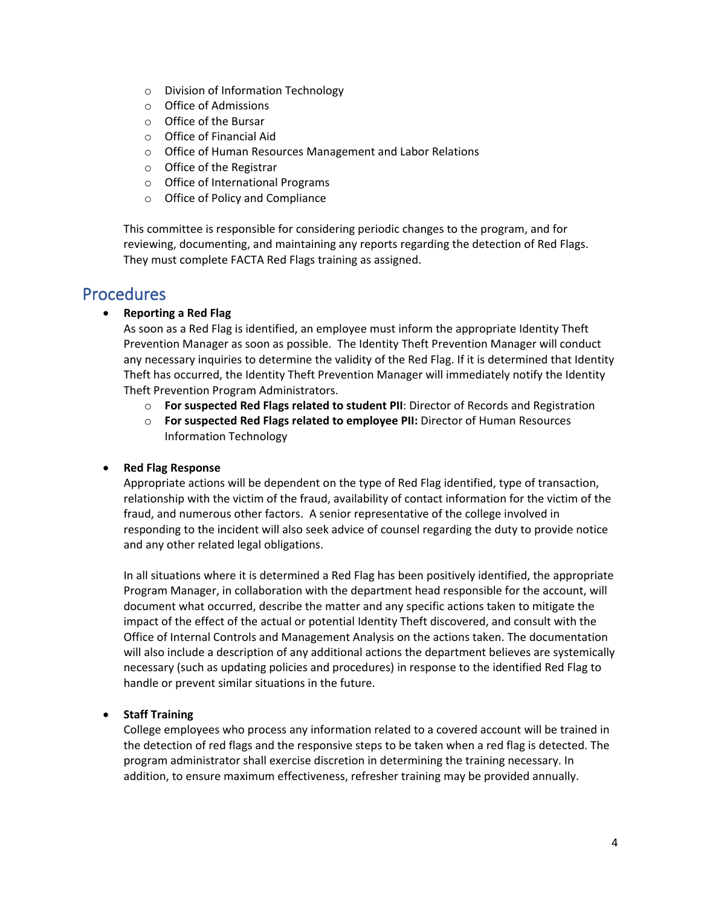- o Division of Information Technology
- o Office of Admissions
- o Office of the Bursar
- o Office of Financial Aid
- o Office of Human Resources Management and Labor Relations
- o Office of the Registrar
- o Office of International Programs
- o Office of Policy and Compliance

This committee is responsible for considering periodic changes to the program, and for reviewing, documenting, and maintaining any reports regarding the detection of Red Flags. They must complete FACTA Red Flags training as assigned.

### **Procedures**

#### • **Reporting a Red Flag**

As soon as a Red Flag is identified, an employee must inform the appropriate Identity Theft Prevention Manager as soon as possible. The Identity Theft Prevention Manager will conduct any necessary inquiries to determine the validity of the Red Flag. If it is determined that Identity Theft has occurred, the Identity Theft Prevention Manager will immediately notify the Identity Theft Prevention Program Administrators.

- o **For suspected Red Flags related to student PII**: Director of Records and Registration
- o **For suspected Red Flags related to employee PII:** Director of Human Resources Information Technology

#### • **Red Flag Response**

Appropriate actions will be dependent on the type of Red Flag identified, type of transaction, relationship with the victim of the fraud, availability of contact information for the victim of the fraud, and numerous other factors. A senior representative of the college involved in responding to the incident will also seek advice of counsel regarding the duty to provide notice and any other related legal obligations.

In all situations where it is determined a Red Flag has been positively identified, the appropriate Program Manager, in collaboration with the department head responsible for the account, will document what occurred, describe the matter and any specific actions taken to mitigate the impact of the effect of the actual or potential Identity Theft discovered, and consult with the Office of Internal Controls and Management Analysis on the actions taken. The documentation will also include a description of any additional actions the department believes are systemically necessary (such as updating policies and procedures) in response to the identified Red Flag to handle or prevent similar situations in the future.

#### • **Staff Training**

College employees who process any information related to a covered account will be trained in the detection of red flags and the responsive steps to be taken when a red flag is detected. The program administrator shall exercise discretion in determining the training necessary. In addition, to ensure maximum effectiveness, refresher training may be provided annually.